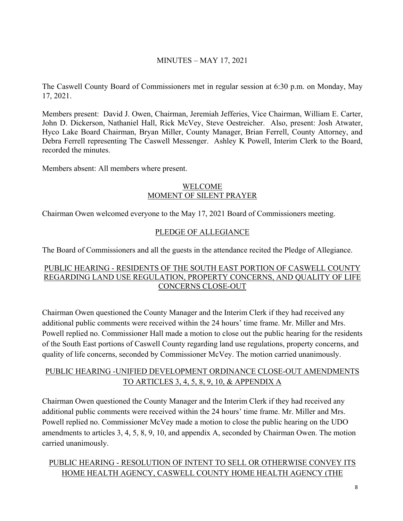## MINUTES – MAY 17, 2021

The Caswell County Board of Commissioners met in regular session at 6:30 p.m. on Monday, May 17, 2021.

Members present: David J. Owen, Chairman, Jeremiah Jefferies, Vice Chairman, William E. Carter, John D. Dickerson, Nathaniel Hall, Rick McVey, Steve Oestreicher. Also, present: Josh Atwater, Hyco Lake Board Chairman, Bryan Miller, County Manager, Brian Ferrell, County Attorney, and Debra Ferrell representing The Caswell Messenger. Ashley K Powell, Interim Clerk to the Board, recorded the minutes.

Members absent: All members where present.

#### WELCOME MOMENT OF SILENT PRAYER

Chairman Owen welcomed everyone to the May 17, 2021 Board of Commissioners meeting.

## PLEDGE OF ALLEGIANCE

The Board of Commissioners and all the guests in the attendance recited the Pledge of Allegiance.

#### PUBLIC HEARING - RESIDENTS OF THE SOUTH EAST PORTION OF CASWELL COUNTY REGARDING LAND USE REGULATION, PROPERTY CONCERNS, AND QUALITY OF LIFE CONCERNS CLOSE-OUT

Chairman Owen questioned the County Manager and the Interim Clerk if they had received any additional public comments were received within the 24 hours' time frame. Mr. Miller and Mrs. Powell replied no. Commissioner Hall made a motion to close out the public hearing for the residents of the South East portions of Caswell County regarding land use regulations, property concerns, and quality of life concerns, seconded by Commissioner McVey. The motion carried unanimously.

## PUBLIC HEARING -UNIFIED DEVELOPMENT ORDINANCE CLOSE-OUT AMENDMENTS TO ARTICLES 3, 4, 5, 8, 9, 10, & APPENDIX A

Chairman Owen questioned the County Manager and the Interim Clerk if they had received any additional public comments were received within the 24 hours' time frame. Mr. Miller and Mrs. Powell replied no. Commissioner McVey made a motion to close the public hearing on the UDO amendments to articles 3, 4, 5, 8, 9, 10, and appendix A, seconded by Chairman Owen. The motion carried unanimously.

# PUBLIC HEARING - RESOLUTION OF INTENT TO SELL OR OTHERWISE CONVEY ITS HOME HEALTH AGENCY, CASWELL COUNTY HOME HEALTH AGENCY (THE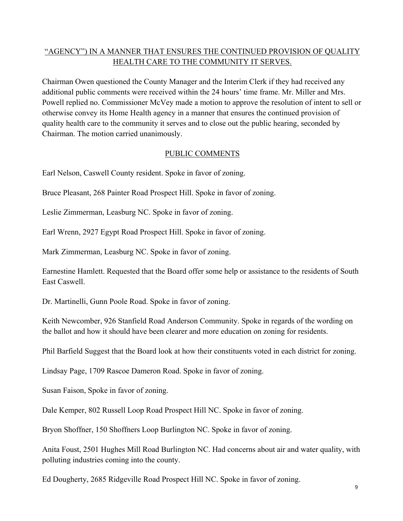## "AGENCY") IN A MANNER THAT ENSURES THE CONTINUED PROVISION OF QUALITY HEALTH CARE TO THE COMMUNITY IT SERVES.

Chairman Owen questioned the County Manager and the Interim Clerk if they had received any additional public comments were received within the 24 hours' time frame. Mr. Miller and Mrs. Powell replied no. Commissioner McVey made a motion to approve the resolution of intent to sell or otherwise convey its Home Health agency in a manner that ensures the continued provision of quality health care to the community it serves and to close out the public hearing, seconded by Chairman. The motion carried unanimously.

## PUBLIC COMMENTS

Earl Nelson, Caswell County resident. Spoke in favor of zoning.

Bruce Pleasant, 268 Painter Road Prospect Hill. Spoke in favor of zoning.

Leslie Zimmerman, Leasburg NC. Spoke in favor of zoning.

Earl Wrenn, 2927 Egypt Road Prospect Hill. Spoke in favor of zoning.

Mark Zimmerman, Leasburg NC. Spoke in favor of zoning.

Earnestine Hamlett. Requested that the Board offer some help or assistance to the residents of South East Caswell.

Dr. Martinelli, Gunn Poole Road. Spoke in favor of zoning.

Keith Newcomber, 926 Stanfield Road Anderson Community. Spoke in regards of the wording on the ballot and how it should have been clearer and more education on zoning for residents.

Phil Barfield Suggest that the Board look at how their constituents voted in each district for zoning.

Lindsay Page, 1709 Rascoe Dameron Road. Spoke in favor of zoning.

Susan Faison, Spoke in favor of zoning.

Dale Kemper, 802 Russell Loop Road Prospect Hill NC. Spoke in favor of zoning.

Bryon Shoffner, 150 Shoffners Loop Burlington NC. Spoke in favor of zoning.

Anita Foust, 2501 Hughes Mill Road Burlington NC. Had concerns about air and water quality, with polluting industries coming into the county.

Ed Dougherty, 2685 Ridgeville Road Prospect Hill NC. Spoke in favor of zoning.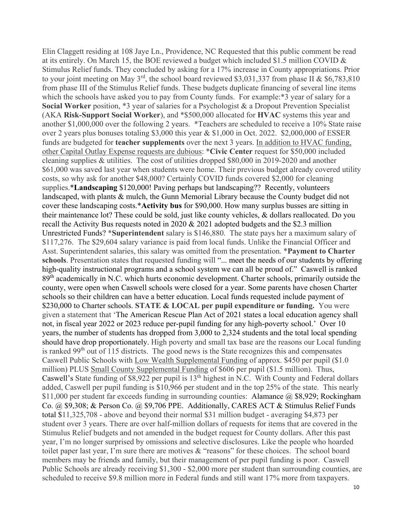Elin Claggett residing at 108 Jaye Ln., Providence, NC Requested that this public comment be read at its entirely. On March 15, the BOE reviewed a budget which included \$1.5 million COVID & Stimulus Relief funds. They concluded by asking for a 17% increase in County appropriations. Prior to your joint meeting on May 3<sup>rd</sup>, the school board reviewed \$3,031,337 from phase II & \$6,783,810 from phase III of the Stimulus Relief funds. These budgets duplicate financing of several line items which the schools have asked you to pay from County funds. For example:\*3 year of salary for a **Social Worker** position, \*3 year of salaries for a Psychologist & a Dropout Prevention Specialist (AKA **Risk-Support Social Worker**), and \*\$500,000 allocated for **HVAC** systems this year and another \$1,000,000 over the following 2 years. \*Teachers are scheduled to receive a 10% State raise over 2 years plus bonuses totaling \$3,000 this year & \$1,000 in Oct. 2022. \$2,000,000 of ESSER funds are budgeted for **teacher supplements** over the next 3 years. In addition to HVAC funding, other Capital Outlay Expense requests are dubious: \***Civic Center** request for \$50,000 included cleaning supplies & utilities. The cost of utilities dropped \$80,000 in 2019-2020 and another \$61,000 was saved last year when students were home. Their previous budget already covered utility costs, so why ask for another \$48,000? Certainly COVID funds covered \$2,000 for cleaning supplies.\***Landscaping** \$120,000! Paving perhaps but landscaping?? Recently, volunteers landscaped, with plants & mulch, the Gunn Memorial Library because the County budget did not cover these landscaping costs.\***Activity bus** for \$90,000. How many surplus busses are sitting in their maintenance lot? These could be sold, just like county vehicles, & dollars reallocated. Do you recall the Activity Bus requests noted in 2020 & 2021 adopted budgets and the \$2.3 million Unrestricted Funds? \***Superintendent** salary is \$146,880. The state pays her a maximum salary of \$117,276. The \$29,604 salary variance is paid from local funds. Unlike the Financial Officer and Asst. Superintendent salaries, this salary was omitted from the presentation. \***Payment to Charter**  schools. Presentation states that requested funding will "... meet the needs of our students by offering high-quality instructional programs and a school system we can all be proud of." Caswell is ranked 89<sup>th</sup> academically in N.C. which hurts economic development. Charter schools, primarily outside the county, were open when Caswell schools were closed for a year. Some parents have chosen Charter schools so their children can have a better education. Local funds requested include payment of \$230,000 to Charter schools. **STATE & LOCAL per pupil expenditure or funding.** You were given a statement that 'The American Rescue Plan Act of 2021 states a local education agency shall not, in fiscal year 2022 or 2023 reduce per-pupil funding for any high-poverty school.' Over 10 years, the number of students has dropped from 3,000 to 2,324 students and the total local spending should have drop proportionately. High poverty and small tax base are the reasons our Local funding is ranked  $99<sup>th</sup>$  out of 115 districts. The good news is the State recognizes this and compensates Caswell Public Schools with Low Wealth Supplemental Funding of approx. \$450 per pupil (\$1.0 million) PLUS Small County Supplemental Funding of \$606 per pupil (\$1.5 million). Thus, Caswell's State funding of \$8,922 per pupil is 13<sup>th</sup> highest in N.C. With County and Federal dollars added, Caswell per pupil funding is \$10,966 per student and in the top 25% of the state. This nearly \$11,000 per student far exceeds funding in surrounding counties: Alamance @ \$8,929; Rockingham Co. @ \$9,308; & Person Co. @ \$9,706 PPE. Additionally, CARES ACT & Stimulus Relief Funds total \$11,325,708 - above and beyond their normal \$31 million budget - averaging \$4,873 per student over 3 years. There are over half-million dollars of requests for items that are covered in the Stimulus Relief budgets and not amended in the budget request for County dollars. After this past year, I'm no longer surprised by omissions and selective disclosures. Like the people who hoarded toilet paper last year, I'm sure there are motives & "reasons" for these choices. The school board members may be friends and family, but their management of per pupil funding is poor. Caswell Public Schools are already receiving \$1,300 - \$2,000 more per student than surrounding counties, are scheduled to receive \$9.8 million more in Federal funds and still want 17% more from taxpayers.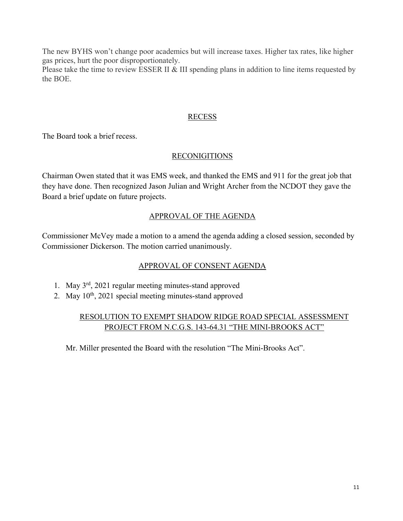The new BYHS won't change poor academics but will increase taxes. Higher tax rates, like higher gas prices, hurt the poor disproportionately.

Please take the time to review ESSER II & III spending plans in addition to line items requested by the BOE.

### RECESS

The Board took a brief recess.

### RECONIGITIONS

Chairman Owen stated that it was EMS week, and thanked the EMS and 911 for the great job that they have done. Then recognized Jason Julian and Wright Archer from the NCDOT they gave the Board a brief update on future projects.

### APPROVAL OF THE AGENDA

Commissioner McVey made a motion to a amend the agenda adding a closed session, seconded by Commissioner Dickerson. The motion carried unanimously.

### APPROVAL OF CONSENT AGENDA

- 1. May 3rd, 2021 regular meeting minutes-stand approved
- 2. May 10<sup>th</sup>, 2021 special meeting minutes-stand approved

## RESOLUTION TO EXEMPT SHADOW RIDGE ROAD SPECIAL ASSESSMENT PROJECT FROM N.C.G.S. 143-64.31 "THE MINI-BROOKS ACT"

Mr. Miller presented the Board with the resolution "The Mini-Brooks Act".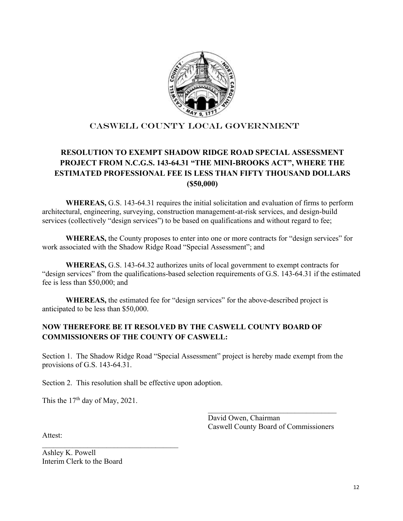

### CASWELL COUNTY local government

## **RESOLUTION TO EXEMPT SHADOW RIDGE ROAD SPECIAL ASSESSMENT PROJECT FROM N.C.G.S. 143-64.31 "THE MINI-BROOKS ACT", WHERE THE ESTIMATED PROFESSIONAL FEE IS LESS THAN FIFTY THOUSAND DOLLARS (\$50,000)**

**WHEREAS,** G.S. 143-64.31 requires the initial solicitation and evaluation of firms to perform architectural, engineering, surveying, construction management-at-risk services, and design-build services (collectively "design services") to be based on qualifications and without regard to fee;

**WHEREAS,** the County proposes to enter into one or more contracts for "design services" for work associated with the Shadow Ridge Road "Special Assessment"; and

**WHEREAS,** G.S. 143-64.32 authorizes units of local government to exempt contracts for "design services" from the qualifications-based selection requirements of G.S. 143-64.31 if the estimated fee is less than \$50,000; and

**WHEREAS,** the estimated fee for "design services" for the above-described project is anticipated to be less than \$50,000.

#### **NOW THEREFORE BE IT RESOLVED BY THE CASWELL COUNTY BOARD OF COMMISSIONERS OF THE COUNTY OF CASWELL:**

Section 1. The Shadow Ridge Road "Special Assessment" project is hereby made exempt from the provisions of G.S. 143-64.31.

 $\overline{\phantom{a}}$  ,  $\overline{\phantom{a}}$  ,  $\overline{\phantom{a}}$  ,  $\overline{\phantom{a}}$  ,  $\overline{\phantom{a}}$  ,  $\overline{\phantom{a}}$  ,  $\overline{\phantom{a}}$  ,  $\overline{\phantom{a}}$  ,  $\overline{\phantom{a}}$  ,  $\overline{\phantom{a}}$  ,  $\overline{\phantom{a}}$  ,  $\overline{\phantom{a}}$  ,  $\overline{\phantom{a}}$  ,  $\overline{\phantom{a}}$  ,  $\overline{\phantom{a}}$  ,  $\overline{\phantom{a}}$ 

Section 2. This resolution shall be effective upon adoption.

This the  $17<sup>th</sup>$  day of May, 2021.

\_\_\_\_\_\_\_\_\_\_\_\_\_\_\_\_\_\_\_\_\_\_\_\_\_\_\_\_\_\_\_\_\_\_\_\_

 David Owen, Chairman Caswell County Board of Commissioners

Attest:

Ashley K. Powell Interim Clerk to the Board